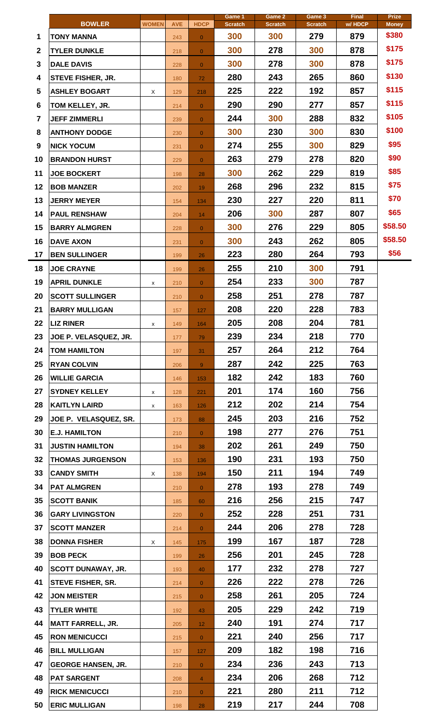|                 | <b>BOWLER</b>             | <b>WOMEN</b> | <b>AVE</b> | <b>HDCP</b>     | Game 1<br><b>Scratch</b> | Game 2<br><b>Scratch</b> | Game 3<br><b>Scratch</b> | <b>Final</b><br>w/HDCP | <b>Prize</b><br><b>Money</b> |
|-----------------|---------------------------|--------------|------------|-----------------|--------------------------|--------------------------|--------------------------|------------------------|------------------------------|
| 1               | TONY MANNA                |              | 243        | $\overline{0}$  | 300                      | 300                      | 279                      | 879                    | \$380                        |
| $\mathbf{2}$    | <b>TYLER DUNKLE</b>       |              | 218        | $\overline{0}$  | 300                      | 278                      | 300                      | 878                    | \$175                        |
| 3               | <b>DALE DAVIS</b>         |              | 228        | $\overline{0}$  | 300                      | 278                      | 300                      | 878                    | \$175                        |
| 4               | <b>STEVE FISHER, JR.</b>  |              | 180        | 72              | 280                      | 243                      | 265                      | 860                    | \$130                        |
| 5               | <b>ASHLEY BOGART</b>      | X            | 129        | 218             | 225                      | 222                      | 192                      | 857                    | \$115                        |
| 6               | TOM KELLEY, JR.           |              | 214        | $\overline{0}$  | 290                      | 290                      | 277                      | 857                    | \$115                        |
| 7               | <b>JEFF ZIMMERLI</b>      |              | 239        | $\overline{0}$  | 244                      | 300                      | 288                      | 832                    | \$105                        |
| 8               | <b>ANTHONY DODGE</b>      |              | 230        | $\overline{0}$  | 300                      | 230                      | 300                      | 830                    | \$100                        |
| 9               | <b>NICK YOCUM</b>         |              | 231        | $\overline{0}$  | 274                      | 255                      | 300                      | 829                    | \$95                         |
| 10              | <b>BRANDON HURST</b>      |              | 229        | $\overline{0}$  | 263                      | 279                      | 278                      | 820                    | \$90                         |
| 11              | <b>JOE BOCKERT</b>        |              | 198        | 28              | 300                      | 262                      | 229                      | 819                    | \$85                         |
| 12              | <b>BOB MANZER</b>         |              | 202        | 19              | 268                      | 296                      | 232                      | 815                    | \$75                         |
| 13              | <b>JERRY MEYER</b>        |              | 154        | 134             | 230                      | 227                      | 220                      | 811                    | \$70                         |
| 14              | <b>PAUL RENSHAW</b>       |              | 204        | 14              | 206                      | 300                      | 287                      | 807                    | \$65                         |
| 15              | <b>BARRY ALMGREN</b>      |              | 228        | $\overline{0}$  | 300                      | 276                      | 229                      | 805                    | \$58.50                      |
| 16              | <b>DAVE AXON</b>          |              | 231        | $\overline{0}$  | 300                      | 243                      | 262                      | 805                    | \$58.50                      |
| 17              | <b>BEN SULLINGER</b>      |              | 199        | 26              | 223                      | 280                      | 264                      | 793                    | \$56                         |
| 18              | <b>JOE CRAYNE</b>         |              | 199        | 26              | 255                      | 210                      | 300                      | 791                    |                              |
| 19              | <b>APRIL DUNKLE</b>       | х            | 210        | $\overline{0}$  | 254                      | 233                      | 300                      | 787                    |                              |
| 20              | <b>SCOTT SULLINGER</b>    |              | 210        | $\overline{0}$  | 258                      | 251                      | 278                      | 787                    |                              |
| 21              | <b>BARRY MULLIGAN</b>     |              | 157        | 127             | 208                      | 220                      | 228                      | 783                    |                              |
| 22              | <b>LIZ RINER</b>          | x            | 149        | 164             | 205                      | 208                      | 204                      | 781                    |                              |
| 23              | JOE P. VELASQUEZ, JR.     |              | 177        | 79              | 239                      | 234                      | 218                      | 770                    |                              |
| 24              | <b>TOM HAMILTON</b>       |              | 197        | 31              | 257                      | 264                      | 212                      | 764                    |                              |
| 25              | <b>RYAN COLVIN</b>        |              | 206        | 9 <sup>°</sup>  | 287                      | 242                      | 225                      | 763                    |                              |
| 26              | <b>WILLIE GARCIA</b>      |              | 146        | 153             | 182                      | 242                      | 183                      | 760                    |                              |
| 27              | <b>SYDNEY KELLEY</b>      | x            | 128        | 221             | 201                      | 174                      | 160                      | 756                    |                              |
| 28              | <b>KAITLYN LAIRD</b>      | x            | 163        | 126             | 212                      | 202                      | 214                      | 754                    |                              |
| 29              | JOE P. VELASQUEZ, SR.     |              | 173        | 88              | 245                      | 203                      | 216                      | 752                    |                              |
| 30              | <b>E.J. HAMILTON</b>      |              | 210        | $\overline{0}$  | 198                      | 277                      | 276                      | 751                    |                              |
| 31              | <b>JUSTIN HAMILTON</b>    |              | 194        | 38              | 202                      | 261                      | 249                      | 750                    |                              |
| 32 <sub>2</sub> | <b>THOMAS JURGENSON</b>   |              | 153        | 136             | 190                      | 231                      | 193                      | 750                    |                              |
| 33              | <b>CANDY SMITH</b>        | X            | 138        | 194             | 150                      | 211                      | 194                      | 749                    |                              |
| 34              | <b>PAT ALMGREN</b>        |              | 210        | $\overline{0}$  | 278                      | 193                      | 278                      | 749                    |                              |
| 35              | <b>SCOTT BANIK</b>        |              | 185        | 60              | 216                      | 256                      | 215                      | 747                    |                              |
| 36              | <b>GARY LIVINGSTON</b>    |              | 220        | $\overline{0}$  | 252                      | 228                      | 251                      | 731                    |                              |
| 37              | <b>SCOTT MANZER</b>       |              | 214        | $\overline{0}$  | 244                      | 206                      | 278                      | 728                    |                              |
| 38              | <b>DONNA FISHER</b>       | X            | 145        | 175             | 199                      | 167                      | 187                      | 728                    |                              |
| 39              | <b>BOB PECK</b>           |              | 199        | 26              | 256                      | 201                      | 245                      | 728                    |                              |
| 40              | <b>SCOTT DUNAWAY, JR.</b> |              | 193        | 40              | 177                      | 232                      | 278                      | 727                    |                              |
| 41              | <b>STEVE FISHER, SR.</b>  |              | 214        | $\overline{0}$  | 226                      | 222                      | 278                      | 726                    |                              |
| 42              | <b>JON MEISTER</b>        |              | 215        | $\overline{0}$  | 258                      | 261                      | 205                      | 724                    |                              |
| 43              | <b>TYLER WHITE</b>        |              | 192        | 43              | 205                      | 229                      | 242                      | 719                    |                              |
| 44              | <b>MATT FARRELL, JR.</b>  |              | 205        | 12 <sub>1</sub> | 240                      | 191                      | 274                      | 717                    |                              |
| 45              | <b>RON MENICUCCI</b>      |              | 215        | $\overline{0}$  | 221                      | 240                      | 256                      | 717                    |                              |
| 46              | <b>BILL MULLIGAN</b>      |              | 157        | 127             | 209                      | 182                      | 198                      | 716                    |                              |
| 47              | <b>GEORGE HANSEN, JR.</b> |              | 210        | $\overline{O}$  | 234                      | 236                      | 243                      | 713                    |                              |
| 48              | <b>PAT SARGENT</b>        |              | 208        | $\overline{4}$  | 234                      | 206                      | 268                      | 712                    |                              |
| 49              | <b>RICK MENICUCCI</b>     |              | 210        | $\overline{0}$  | 221                      | 280                      | 211                      | 712                    |                              |
| 50              | <b>ERIC MULLIGAN</b>      |              | 198        | 28              | 219                      | 217                      | 244                      | 708                    |                              |